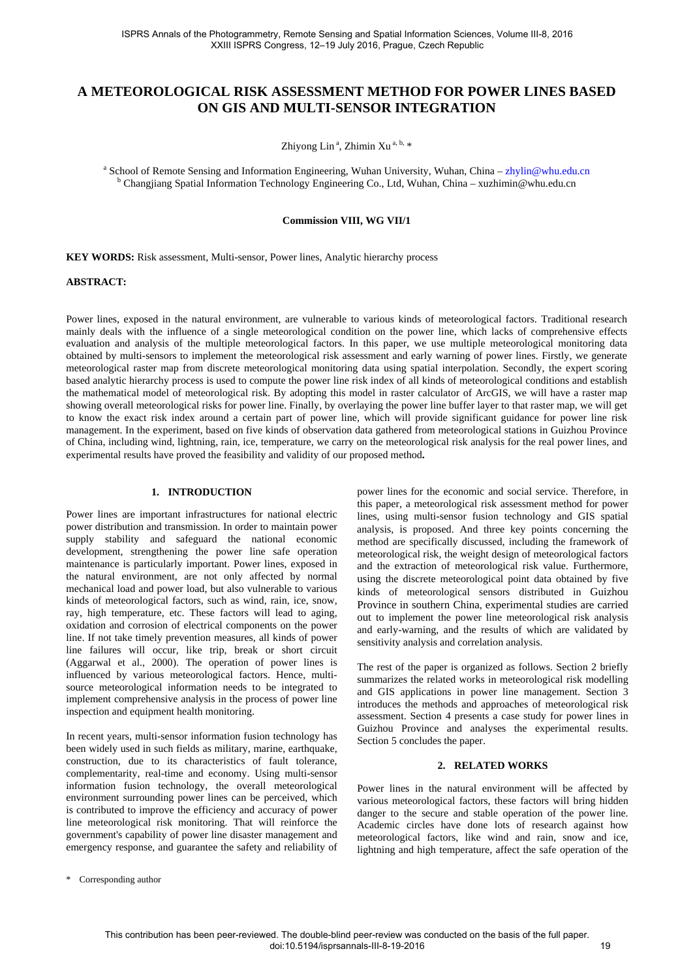# **A METEOROLOGICAL RISK ASSESSMENT METHOD FOR POWER LINES BASED ON GIS AND MULTI-SENSOR INTEGRATION**

Zhiyong Lin<sup>a</sup>, Zhimin Xu<sup>a, b,</sup> [\\*](#page-0-0)

<sup>a</sup> School of Remote Sensing and Information Engineering, Wuhan University, Wuhan, China – [zhylin@whu.edu.cn](mailto:zhylin@whu.edu.cn) b Changjiang Spatial Information Technology Engineering Co., Ltd, Wuhan, China – xuzhimin@whu.edu.cn

**Commission VIII, WG VII/1**

**KEY WORDS:** Risk assessment, Multi-sensor, Power lines, Analytic hierarchy process

#### **ABSTRACT:**

Power lines, exposed in the natural environment, are vulnerable to various kinds of meteorological factors. Traditional research mainly deals with the influence of a single meteorological condition on the power line, which lacks of comprehensive effects evaluation and analysis of the multiple meteorological factors. In this paper, we use multiple meteorological monitoring data obtained by multi-sensors to implement the meteorological risk assessment and early warning of power lines. Firstly, we generate meteorological raster map from discrete meteorological monitoring data using spatial interpolation. Secondly, the expert scoring based analytic hierarchy process is used to compute the power line risk index of all kinds of meteorological conditions and establish the mathematical model of meteorological risk. By adopting this model in raster calculator of ArcGIS, we will have a raster map showing overall meteorological risks for power line. Finally, by overlaying the power line buffer layer to that raster map, we will get to know the exact risk index around a certain part of power line, which will provide significant guidance for power line risk management. In the experiment, based on five kinds of observation data gathered from meteorological stations in Guizhou Province of China, including wind, lightning, rain, ice, temperature, we carry on the meteorological risk analysis for the real power lines, and experimental results have proved the feasibility and validity of our proposed method**.**

## **1. INTRODUCTION**

Power lines are important infrastructures for national electric power distribution and transmission. In order to maintain power supply stability and safeguard the national economic development, strengthening the power line safe operation maintenance is particularly important. Power lines, exposed in the natural environment, are not only affected by normal mechanical load and power load, but also vulnerable to various kinds of meteorological factors, such as wind, rain, ice, snow, ray, high temperature, etc. These factors will lead to aging, oxidation and corrosion of electrical components on the power line. If not take timely prevention measures, all kinds of power line failures will occur, like trip, break or short circuit (Aggarwal et al., 2000). The operation of power lines is influenced by various meteorological factors. Hence, multisource meteorological information needs to be integrated to implement comprehensive analysis in the process of power line inspection and equipment health monitoring.

In recent years, multi-sensor information fusion technology has been widely used in such fields as military, marine, earthquake, construction, due to its characteristics of fault tolerance, complementarity, real-time and economy. Using multi-sensor information fusion technology, the overall meteorological environment surrounding power lines can be perceived, which is contributed to improve the efficiency and accuracy of power line meteorological risk monitoring. That will reinforce the government's capability of power line disaster management and emergency response, and guarantee the safety and reliability of power lines for the economic and social service. Therefore, in this paper, a meteorological risk assessment method for power lines, using multi-sensor fusion technology and GIS spatial analysis, is proposed. And three key points concerning the method are specifically discussed, including the framework of meteorological risk, the weight design of meteorological factors and the extraction of meteorological risk value. Furthermore, using the discrete meteorological point data obtained by five kinds of meteorological sensors distributed in Guizhou Province in southern China, experimental studies are carried out to implement the power line meteorological risk analysis and early-warning, and the results of which are validated by sensitivity analysis and correlation analysis.

The rest of the paper is organized as follows. Section 2 briefly summarizes the related works in meteorological risk modelling and GIS applications in power line management. Section 3 introduces the methods and approaches of meteorological risk assessment. Section 4 presents a case study for power lines in Guizhou Province and analyses the experimental results. Section 5 concludes the paper.

#### **2. RELATED WORKS**

Power lines in the natural environment will be affected by various meteorological factors, these factors will bring hidden danger to the secure and stable operation of the power line. Academic circles have done lots of research against how meteorological factors, like wind and rain, snow and ice, lightning and high temperature, affect the safe operation of the

<span id="page-0-0"></span>\* Corresponding author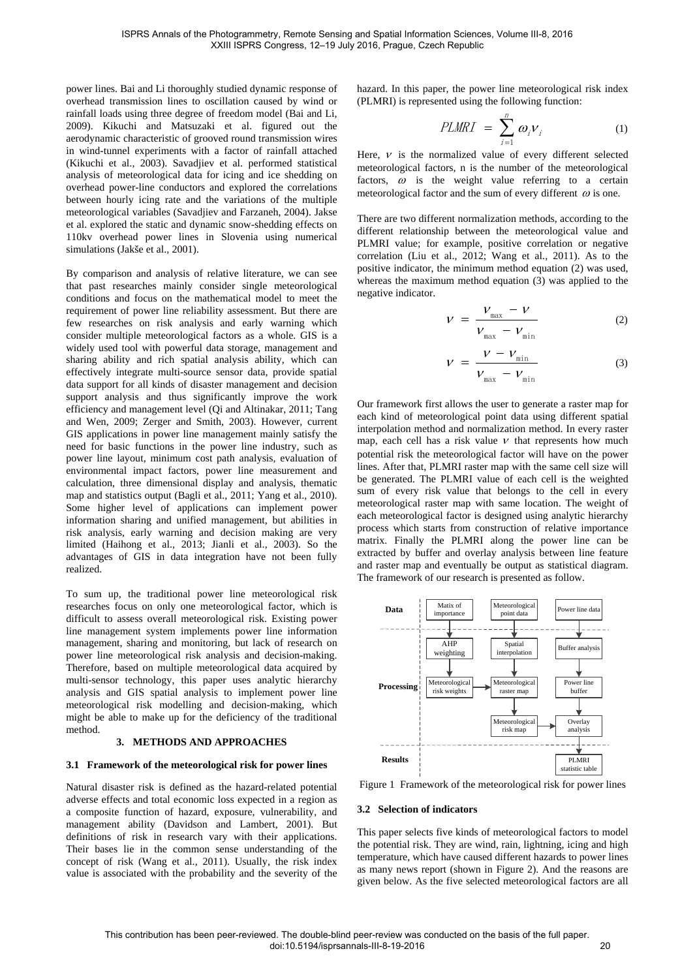power lines. Bai and Li thoroughly studied dynamic response of overhead transmission lines to oscillation caused by wind or rainfall loads using three degree of freedom model (Bai and Li, 2009). Kikuchi and Matsuzaki et al. figured out the aerodynamic characteristic of grooved round transmission wires in wind-tunnel experiments with a factor of rainfall attached (Kikuchi et al., 2003). Savadjiev et al. performed statistical analysis of meteorological data for icing and ice shedding on overhead power-line conductors and explored the correlations between hourly icing rate and the variations of the multiple meteorological variables (Savadjiev and Farzaneh, 2004). Jakse et al. explored the static and dynamic snow-shedding effects on 110kv overhead power lines in Slovenia using numerical simulations (Jakše et al., 2001).

By comparison and analysis of relative literature, we can see that past researches mainly consider single meteorological conditions and focus on the mathematical model to meet the requirement of power line reliability assessment. But there are few researches on risk analysis and early warning which consider multiple meteorological factors as a whole. GIS is a widely used tool with powerful data storage, management and sharing ability and rich spatial analysis ability, which can effectively integrate multi-source sensor data, provide spatial data support for all kinds of disaster management and decision support analysis and thus significantly improve the work efficiency and management level (Qi and Altinakar, 2011; Tang and Wen, 2009; Zerger and Smith, 2003). However, current GIS applications in power line management mainly satisfy the need for basic functions in the power line industry, such as power line layout, minimum cost path analysis, evaluation of environmental impact factors, power line measurement and calculation, three dimensional display and analysis, thematic map and statistics output (Bagli et al., 2011; Yang et al., 2010). Some higher level of applications can implement power information sharing and unified management, but abilities in risk analysis, early warning and decision making are very limited (Haihong et al., 2013; Jianli et al., 2003). So the advantages of GIS in data integration have not been fully realized.

To sum up, the traditional power line meteorological risk researches focus on only one meteorological factor, which is difficult to assess overall meteorological risk. Existing power line management system implements power line information management, sharing and monitoring, but lack of research on power line meteorological risk analysis and decision-making. Therefore, based on multiple meteorological data acquired by multi-sensor technology, this paper uses analytic hierarchy analysis and GIS spatial analysis to implement power line meteorological risk modelling and decision-making, which might be able to make up for the deficiency of the traditional method.

# **3. METHODS AND APPROACHES**

#### **3.1 Framework of the meteorological risk for power lines**

Natural disaster risk is defined as the hazard-related potential adverse effects and total economic loss expected in a region as a composite function of hazard, exposure, vulnerability, and management ability (Davidson and Lambert, 2001). But definitions of risk in research vary with their applications. Their bases lie in the common sense understanding of the concept of risk (Wang et al., 2011). Usually, the risk index value is associated with the probability and the severity of the hazard. In this paper, the power line meteorological risk index (PLMRI) is represented using the following function:

$$
PLMRI = \sum_{i=1}^{n} \omega_i V_i \tag{1}
$$

Here,  $\nu$  is the normalized value of every different selected meteorological factors, n is the number of the meteorological factors,  $\omega$  is the weight value referring to a certain meteorological factor and the sum of every different  $\omega$  is one.

There are two different normalization methods, according to the different relationship between the meteorological value and PLMRI value; for example, positive correlation or negative correlation (Liu et al., 2012; Wang et al., 2011). As to the positive indicator, the minimum method equation (2) was used, whereas the maximum method equation (3) was applied to the negative indicator.

$$
V = \frac{V_{\text{max}} - V}{V_{\text{max}} - V_{\text{min}}}
$$
 (2)

$$
V = \frac{V - V_{\min}}{V_{\max} - V_{\min}}
$$
 (3)

Our framework first allows the user to generate a raster map for each kind of meteorological point data using different spatial interpolation method and normalization method. In every raster map, each cell has a risk value  $\nu$  that represents how much potential risk the meteorological factor will have on the power lines. After that, PLMRI raster map with the same cell size will be generated. The PLMRI value of each cell is the weighted sum of every risk value that belongs to the cell in every meteorological raster map with same location. The weight of each meteorological factor is designed using analytic hierarchy process which starts from construction of relative importance matrix. Finally the PLMRI along the power line can be extracted by buffer and overlay analysis between line feature and raster map and eventually be output as statistical diagram. The framework of our research is presented as follow.



Figure 1 Framework of the meteorological risk for power lines

#### **3.2 Selection of indicators**

This paper selects five kinds of meteorological factors to model the potential risk. They are wind, rain, lightning, icing and high temperature, which have caused different hazards to power lines as many news report (shown in [Figure 2\)](#page-2-0). And the reasons are given below. As the five selected meteorological factors are all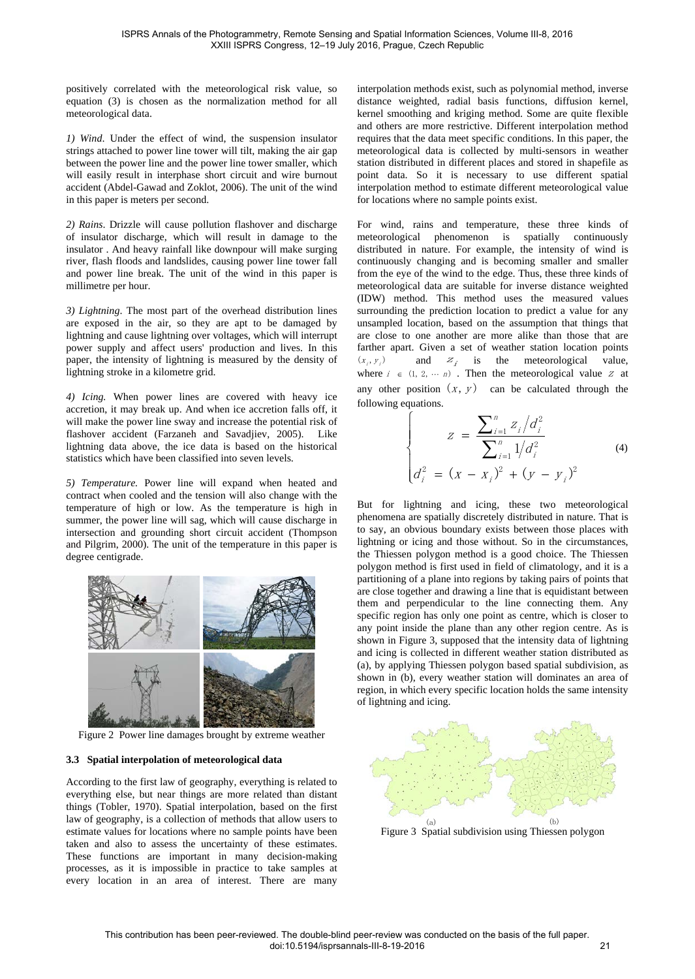positively correlated with the meteorological risk value, so equation (3) is chosen as the normalization method for all meteorological data.

*1) Wind*. Under the effect of wind, the suspension insulator strings attached to power line tower will tilt, making the air gap between the power line and the power line tower smaller, which will easily result in interphase short circuit and wire burnout accident (Abdel-Gawad and Zoklot, 2006). The unit of the wind in this paper is meters per second.

*2) Rains*. Drizzle will cause pollution flashover and discharge of insulator discharge, which will result in damage to the insulator . And heavy rainfall like downpour will make surging river, flash floods and landslides, causing power line tower fall and power line break. The unit of the wind in this paper is millimetre per hour.

*3) Lightning*. The most part of the overhead distribution lines are exposed in the air, so they are apt to be damaged by lightning and cause lightning over voltages, which will interrupt power supply and affect users' production and lives. In this paper, the intensity of lightning is measured by the density of lightning stroke in a kilometre grid.

*4) Icing.* When power lines are covered with heavy ice accretion, it may break up. And when ice accretion falls off, it will make the power line sway and increase the potential risk of flashover accident (Farzaneh and Savadjiev, 2005). Like lightning data above, the ice data is based on the historical statistics which have been classified into seven levels.

*5) Temperature.* Power line will expand when heated and contract when cooled and the tension will also change with the temperature of high or low. As the temperature is high in summer, the power line will sag, which will cause discharge in intersection and grounding short circuit accident (Thompson and Pilgrim, 2000). The unit of the temperature in this paper is degree centigrade.



<span id="page-2-0"></span>Figure 2 Power line damages brought by extreme weather

### **3.3 Spatial interpolation of meteorological data**

According to the first law of geography, everything is related to everything else, but near things are more related than distant things (Tobler, 1970). Spatial interpolation, based on the first law of geography, is a collection of methods that allow users to estimate values for locations where no sample points have been taken and also to assess the uncertainty of these estimates. These functions are important in many decision-making processes, as it is impossible in practice to take samples at every location in an area of interest. There are many

interpolation methods exist, such as polynomial method, inverse distance weighted, radial basis functions, diffusion kernel, kernel smoothing and kriging method. Some are quite flexible and others are more restrictive. Different interpolation method requires that the data meet specific conditions. In this paper, the meteorological data is collected by multi-sensors in weather station distributed in different places and stored in shapefile as point data. So it is necessary to use different spatial interpolation method to estimate different meteorological value for locations where no sample points exist.

For wind, rains and temperature, these three kinds of meteorological phenomenon is spatially continuously distributed in nature. For example, the intensity of wind is continuously changing and is becoming smaller and smaller from the eye of the wind to the edge. Thus, these three kinds of meteorological data are suitable for inverse distance weighted (IDW) method. This method uses the measured values surrounding the prediction location to predict a value for any unsampled location, based on the assumption that things that are close to one another are more alike than those that are farther apart. Given a set of weather station location points  $(x_i, y_i)$  and  $z_i$  is the meteorological value, where  $i \in (1, 2, \cdots n)$ . Then the meteorological value z at any other position  $(x, y)$  can be calculated through the following equations.

$$
Z = \frac{\sum_{i=1}^{n} Z_i / d_i^2}{\sum_{i=1}^{n} 1 / d_i^2}
$$
\n(4)\n
$$
d_i^2 = (x - x_i)^2 + (y - y_i)^2
$$

But for lightning and icing, these two meteorological phenomena are spatially discretely distributed in nature. That is to say, an obvious boundary exists between those places with lightning or icing and those without. So in the circumstances, the Thiessen polygon method is a good choice. The Thiessen polygon method is first used in field of climatology, and it is a partitioning of a plane into regions by taking pairs of points that are close together and drawing a line that is equidistant between them and perpendicular to the line connecting them. Any specific region has only one point as centre, which is closer to any point inside the plane than any other region centre. As is shown in [Figure 3,](#page-2-1) supposed that the intensity data of lightning and icing is collected in different weather station distributed as (a), by applying Thiessen polygon based spatial subdivision, as shown in (b), every weather station will dominates an area of region, in which every specific location holds the same intensity of lightning and icing.



<span id="page-2-1"></span>Figure 3 Spatial subdivision using Thiessen polygon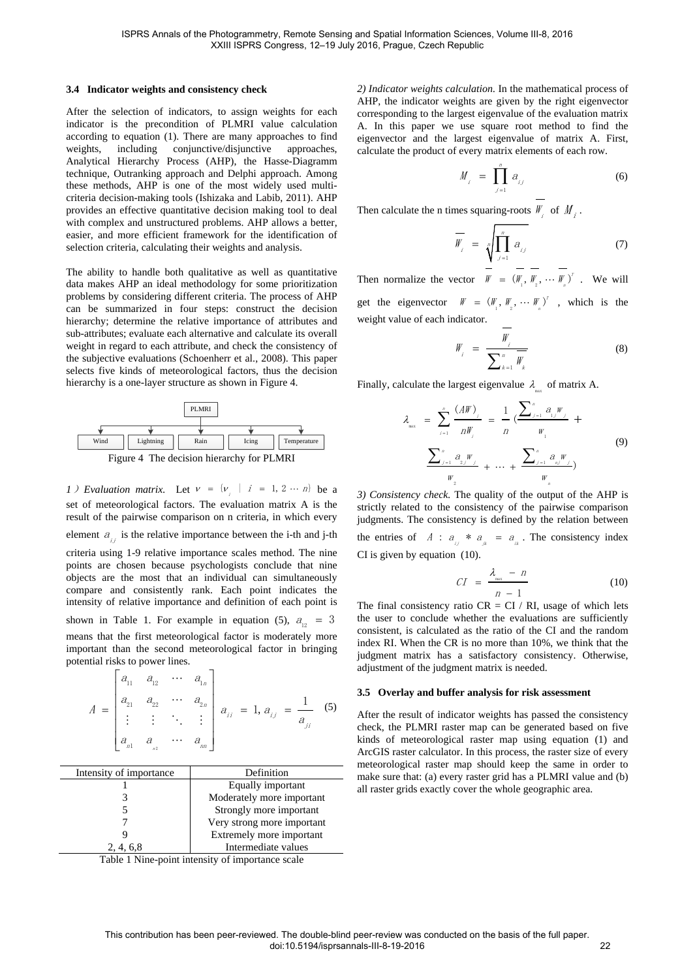#### <span id="page-3-2"></span>**3.4 Indicator weights and consistency check**

After the selection of indicators, to assign weights for each indicator is the precondition of PLMRI value calculation according to equation (1). There are many approaches to find weights, including conjunctive/disjunctive approaches, Analytical Hierarchy Process (AHP), the Hasse-Diagramm technique, Outranking approach and Delphi approach. Among these methods, AHP is one of the most widely used multicriteria decision-making tools (Ishizaka and Labib, 2011). AHP provides an effective quantitative decision making tool to deal with complex and unstructured problems. AHP allows a better, easier, and more efficient framework for the identification of selection criteria, calculating their weights and analysis.

The ability to handle both qualitative as well as quantitative data makes AHP an ideal methodology for some prioritization problems by considering different criteria. The process of AHP can be summarized in four steps: construct the decision hierarchy; determine the relative importance of attributes and sub-attributes; evaluate each alternative and calculate its overall weight in regard to each attribute, and check the consistency of the subjective evaluations (Schoenherr et al., 2008). This paper selects five kinds of meteorological factors, thus the decision hierarchy is a one-layer structure as shown in [Figure 4.](#page-3-0)





<span id="page-3-0"></span>*1*) Evaluation matrix. Let  $v = \{v_i \mid i = 1, 2 \cdots n\}$  be a set of meteorological factors. The evaluation matrix A is the result of the pairwise comparison on n criteria, in which every element  $a_{ij}$  is the relative importance between the i-th and j-th criteria using 1-9 relative importance scales method. The nine points are chosen because psychologists conclude that nine objects are the most that an individual can simultaneously compare and consistently rank. Each point indicates the intensity of relative importance and definition of each point is shown in [Table 1.](#page-3-1) For example in equation (5),  $a_{12} = 3$ means that the first meteorological factor is moderately more important than the second meteorological factor in bringing potential risks to power lines.

$$
A = \begin{bmatrix} a_{11} & a_{12} & \cdots & a_{1n} \\ a_{21} & a_{22} & \cdots & a_{2n} \\ \vdots & \vdots & \ddots & \vdots \\ a_{n1} & a_{n2} & \cdots & a_{nn} \end{bmatrix} a_{1i} = 1, a_{1j} = \frac{1}{a_{jj}} \quad (5)
$$

| Intensity of importance | Definition                 |  |
|-------------------------|----------------------------|--|
|                         | Equally important          |  |
|                         | Moderately more important  |  |
|                         | Strongly more important    |  |
|                         | Very strong more important |  |
|                         | Extremely more important   |  |
| 2, 4, 6, 8              | Intermediate values        |  |

<span id="page-3-1"></span>Table 1 Nine-point intensity of importance scale

*2) Indicator weights calculation.* In the mathematical process of AHP, the indicator weights are given by the right eigenvector corresponding to the largest eigenvalue of the evaluation matrix A. In this paper we use square root method to find the eigenvector and the largest eigenvalue of matrix A. First, calculate the product of every matrix elements of each row.

$$
M_{i} = \prod_{j=1}^{n} a_{ij} \tag{6}
$$

Then calculate the n times squaring-roots  $W_i$  of  $M_i$ .

$$
\overline{W}_i = \sqrt[n]{\prod_{j=1}^n a_{ij}} \tag{7}
$$

Then normalize the vector  $W = (W_1, W_2, \cdots W_n)^T$ . We will get the eigenvector  $W = (W_1, W_2, \cdots W_n)^T$ , which is the weight value of each indicator.

$$
W_{i} = \frac{W_{i}}{\sum_{k=1}^{n} W_{k}}
$$
 (8)

Finally, calculate the largest eigenvalue  $\lambda$  of matrix A.

$$
\lambda_{\max} = \sum_{i=1}^{n} \frac{(AW)_{i}}{nW_{i}} = \frac{1}{n} \frac{\left(\sum_{j=1}^{n} \frac{a_{j}W_{j}}{11}\right)}{W_{1}} + \frac{\sum_{j=1}^{n} \frac{a_{j}W_{j}}{11}}{W_{2}} + \dots + \frac{\sum_{j=1}^{n} \frac{a_{j}W_{j}}{111}}{W_{n}} \tag{9}
$$

*3) Consistency check.* The quality of the output of the AHP is strictly related to the consistency of the pairwise comparison judgments. The consistency is defined by the relation between the entries of  $A : a_{ii} * a_{ii} = a_{ii}$ . The consistency index CI is given by equation (10).

$$
CI = \frac{\lambda_{\max} - n}{n - 1} \tag{10}
$$

The final consistency ratio  $CR = CI / RI$ , usage of which lets the user to conclude whether the evaluations are sufficiently consistent, is calculated as the ratio of the CI and the random index RI. When the CR is no more than 10%, we think that the judgment matrix has a satisfactory consistency. Otherwise, adjustment of the judgment matrix is needed.

#### **3.5 Overlay and buffer analysis for risk assessment**

After the result of indicator weights has passed the consistency check, the PLMRI raster map can be generated based on five kinds of meteorological raster map using equation (1) and ArcGIS raster calculator. In this process, the raster size of every meteorological raster map should keep the same in order to make sure that: (a) every raster grid has a PLMRI value and (b) all raster grids exactly cover the whole geographic area.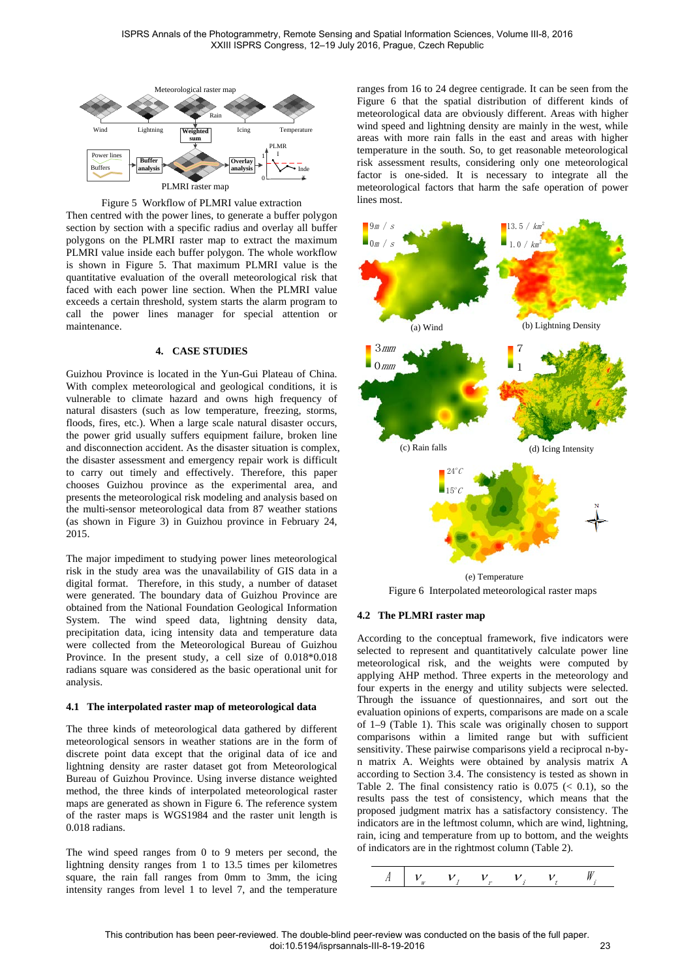

Figure 5 Workflow of PLMRI value extraction

<span id="page-4-0"></span>Then centred with the power lines, to generate a buffer polygon section by section with a specific radius and overlay all buffer polygons on the PLMRI raster map to extract the maximum PLMRI value inside each buffer polygon. The whole workflow is shown in [Figure 5.](#page-4-0) That maximum PLMRI value is the quantitative evaluation of the overall meteorological risk that faced with each power line section. When the PLMRI value exceeds a certain threshold, system starts the alarm program to call the power lines manager for special attention or maintenance.

#### **4. CASE STUDIES**

Guizhou Province is located in the Yun-Gui Plateau of China. With complex meteorological and geological conditions, it is vulnerable to climate hazard and owns high frequency of natural disasters (such as low temperature, freezing, storms, floods, fires, etc.). When a large scale natural disaster occurs, the power grid usually suffers equipment failure, broken line and disconnection accident. As the disaster situation is complex, the disaster assessment and emergency repair work is difficult to carry out timely and effectively. Therefore, this paper chooses Guizhou province as the experimental area, and presents the meteorological risk modeling and analysis based on the multi-sensor meteorological data from 87 weather stations (as shown in [Figure 3\)](#page-2-1) in Guizhou province in February 24, 2015.

The major impediment to studying power lines meteorological risk in the study area was the unavailability of GIS data in a digital format. Therefore, in this study, a number of dataset were generated. The boundary data of Guizhou Province are obtained from the National Foundation Geological Information System. The wind speed data, lightning density data, precipitation data, icing intensity data and temperature data were collected from the Meteorological Bureau of Guizhou Province. In the present study, a cell size of 0.018\*0.018 radians square was considered as the basic operational unit for analysis.

#### **4.1 The interpolated raster map of meteorological data**

The three kinds of meteorological data gathered by different meteorological sensors in weather stations are in the form of discrete point data except that the original data of ice and lightning density are raster dataset got from Meteorological Bureau of Guizhou Province. Using inverse distance weighted method, the three kinds of interpolated meteorological raster maps are generated as shown in [Figure 6.](#page-4-1) The reference system of the raster maps is WGS1984 and the raster unit length is 0.018 radians.

The wind speed ranges from 0 to 9 meters per second, the lightning density ranges from 1 to 13.5 times per kilometres square, the rain fall ranges from 0mm to 3mm, the icing intensity ranges from level 1 to level 7, and the temperature ranges from 16 to 24 degree centigrade. It can be seen from the [Figure 6](#page-4-1) that the spatial distribution of different kinds of meteorological data are obviously different. Areas with higher wind speed and lightning density are mainly in the west, while areas with more rain falls in the east and areas with higher temperature in the south. So, to get reasonable meteorological risk assessment results, considering only one meteorological factor is one-sided. It is necessary to integrate all the meteorological factors that harm the safe operation of power lines most.



Figure 6 Interpolated meteorological raster maps

#### <span id="page-4-1"></span>**4.2 The PLMRI raster map**

According to the conceptual framework, five indicators were selected to represent and quantitatively calculate power line meteorological risk, and the weights were computed by applying AHP method. Three experts in the meteorology and four experts in the energy and utility subjects were selected. Through the issuance of questionnaires, and sort out the evaluation opinions of experts, comparisons are made on a scale of 1–9 [\(Table 1\)](#page-3-1). This scale was originally chosen to support comparisons within a limited range but with sufficient sensitivity. These pairwise comparisons yield a reciprocal n-byn matrix A. Weights were obtained by analysis matrix A according to Section [3.4.](#page-3-2) The consistency is tested as shown in [Table 2.](#page-5-0) The final consistency ratio is  $0.075 \leq 0.1$ , so the results pass the test of consistency, which means that the proposed judgment matrix has a satisfactory consistency. The indicators are in the leftmost column, which are wind, lightning, rain, icing and temperature from up to bottom, and the weights of indicators are in the rightmost column [\(Table 2\)](#page-5-0).

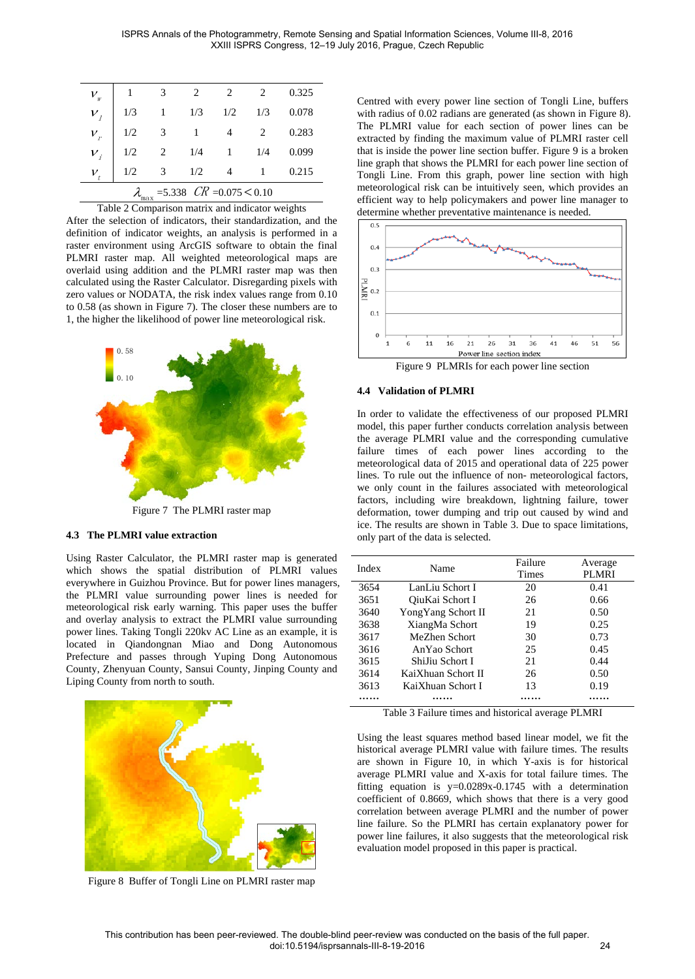| $V_{w}$                                                                                |     | 3 | 2   | $\overline{c}$ | $\overline{c}$ | 0.325 |
|----------------------------------------------------------------------------------------|-----|---|-----|----------------|----------------|-------|
| $V_i$                                                                                  | 1/3 |   | 1/3 | 1/2            | 1/3            | 0.078 |
| $V_r$                                                                                  | 1/2 |   |     | 4              | 2              | 0.283 |
| $v_{i}$                                                                                | 1/2 |   | 1/4 |                | 1/4            | 0.099 |
| $V_{t}$                                                                                | 1/2 |   | 1/2 | 4              |                | 0.215 |
| $=5.338$ $CR = 0.075 \le 0.10$<br>max                                                  |     |   |     |                |                |       |
| $\cdot$ $\cdot$<br>$\cdot$ $\cdot$<br>. .<br>$\overline{\phantom{a}}$<br>$\sim$ $\sim$ |     |   |     |                |                |       |

| Table 2 Comparison matrix and indicator weights |  |  |  |
|-------------------------------------------------|--|--|--|
|                                                 |  |  |  |

<span id="page-5-0"></span>After the selection of indicators, their standardization, and the definition of indicator weights, an analysis is performed in a raster environment using ArcGIS software to obtain the final PLMRI raster map. All weighted meteorological maps are overlaid using addition and the PLMRI raster map was then calculated using the Raster Calculator. Disregarding pixels with zero values or NODATA, the risk index values range from 0.10 to 0.58 (as shown in [Figure 7\)](#page-5-1). The closer these numbers are to 1, the higher the likelihood of power line meteorological risk.



Figure 7 The PLMRI raster map

#### <span id="page-5-1"></span>**4.3 The PLMRI value extraction**

Using Raster Calculator, the PLMRI raster map is generated which shows the spatial distribution of PLMRI values everywhere in Guizhou Province. But for power lines managers, the PLMRI value surrounding power lines is needed for meteorological risk early warning. This paper uses the buffer and overlay analysis to extract the PLMRI value surrounding power lines. Taking Tongli 220kv AC Line as an example, it is located in Qiandongnan Miao and Dong Autonomous Prefecture and passes through Yuping Dong Autonomous County, Zhenyuan County, Sansui County, Jinping County and Liping County from north to south.



<span id="page-5-2"></span>Figure 8 Buffer of Tongli Line on PLMRI raster map

Centred with every power line section of Tongli Line, buffers with radius of 0.02 radians are generated (as shown in [Figure 8\)](#page-5-2). The PLMRI value for each section of power lines can be extracted by finding the maximum value of PLMRI raster cell that is inside the power line section buffer. [Figure 9](#page-5-3) is a broken line graph that shows the PLMRI for each power line section of Tongli Line. From this graph, power line section with high meteorological risk can be intuitively seen, which provides an efficient way to help policymakers and power line manager to determine whether preventative maintenance is needed.



Figure 9 PLMRIs for each power line section

#### <span id="page-5-3"></span>**4.4 Validation of PLMRI**

In order to validate the effectiveness of our proposed PLMRI model, this paper further conducts correlation analysis between the average PLMRI value and the corresponding cumulative failure times of each power lines according to the meteorological data of 2015 and operational data of 225 power lines. To rule out the influence of non- meteorological factors, we only count in the failures associated with meteorological factors, including wire breakdown, lightning failure, tower deformation, tower dumping and trip out caused by wind and ice. The results are shown in Table 3. Due to space limitations, only part of the data is selected.

| Index | Name                | Failure<br>Times | Average<br><b>PLMRI</b> |
|-------|---------------------|------------------|-------------------------|
|       |                     |                  |                         |
| 3654  | LanLiu Schort I     | 20               | 0.41                    |
| 3651  | OiuKai Schort I     | 26               | 0.66                    |
| 3640  | Yong Yang Schort II | 21               | 0.50                    |
| 3638  | XiangMa Schort      | 19               | 0.25                    |
| 3617  | MeZhen Schort       | 30               | 0.73                    |
| 3616  | AnYao Schort        | 25               | 0.45                    |
| 3615  | ShiJiu Schort I     | 21               | 0.44                    |
| 3614  | KaiXhuan Schort II  | 26               | 0.50                    |
| 3613  | KaiXhuan Schort I   | 13               | 0.19                    |
|       |                     |                  |                         |

Table 3 Failure times and historical average PLMRI

Using the least squares method based linear model, we fit the historical average PLMRI value with failure times. The results are shown in Figure 10, in which Y-axis is for historical average PLMRI value and X-axis for total failure times. The fitting equation is  $y=0.0289x-0.1745$  with a determination coefficient of 0.8669, which shows that there is a very good correlation between average PLMRI and the number of power line failure. So the PLMRI has certain explanatory power for power line failures, it also suggests that the meteorological risk evaluation model proposed in this paper is practical.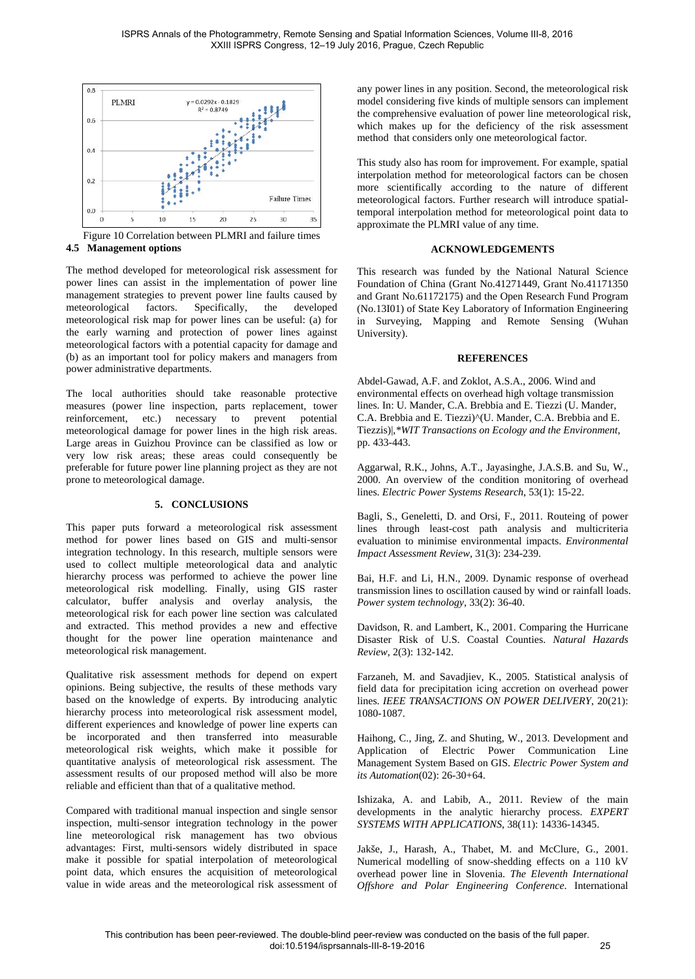

Figure 10 Correlation between PLMRI and failure times **4.5 Management options**

The method developed for meteorological risk assessment for power lines can assist in the implementation of power line management strategies to prevent power line faults caused by<br>meteorological factors. Specifically, the developed meteorological factors. Specifically, the developed meteorological risk map for power lines can be useful: (a) for the early warning and protection of power lines against meteorological factors with a potential capacity for damage and (b) as an important tool for policy makers and managers from power administrative departments.

The local authorities should take reasonable protective measures (power line inspection, parts replacement, tower reinforcement, etc.) necessary to prevent potential reinforcement, etc.) necessary meteorological damage for power lines in the high risk areas. Large areas in Guizhou Province can be classified as low or very low risk areas; these areas could consequently be preferable for future power line planning project as they are not prone to meteorological damage.

### **5. CONCLUSIONS**

This paper puts forward a meteorological risk assessment method for power lines based on GIS and multi-sensor integration technology. In this research, multiple sensors were used to collect multiple meteorological data and analytic hierarchy process was performed to achieve the power line meteorological risk modelling. Finally, using GIS raster calculator, buffer analysis and overlay analysis, the meteorological risk for each power line section was calculated and extracted. This method provides a new and effective thought for the power line operation maintenance and meteorological risk management.

Qualitative risk assessment methods for depend on expert opinions. Being subjective, the results of these methods vary based on the knowledge of experts. By introducing analytic hierarchy process into meteorological risk assessment model, different experiences and knowledge of power line experts can be incorporated and then transferred into measurable meteorological risk weights, which make it possible for quantitative analysis of meteorological risk assessment. The assessment results of our proposed method will also be more reliable and efficient than that of a qualitative method.

Compared with traditional manual inspection and single sensor inspection, multi-sensor integration technology in the power line meteorological risk management has two obvious advantages: First, multi-sensors widely distributed in space make it possible for spatial interpolation of meteorological point data, which ensures the acquisition of meteorological value in wide areas and the meteorological risk assessment of any power lines in any position. Second, the meteorological risk model considering five kinds of multiple sensors can implement the comprehensive evaluation of power line meteorological risk, which makes up for the deficiency of the risk assessment method that considers only one meteorological factor.

This study also has room for improvement. For example, spatial interpolation method for meteorological factors can be chosen more scientifically according to the nature of different meteorological factors. Further research will introduce spatialtemporal interpolation method for meteorological point data to approximate the PLMRI value of any time.

# **ACKNOWLEDGEMENTS**

This research was funded by the National Natural Science Foundation of China (Grant No.41271449, Grant No.41171350 and Grant No.61172175) and the Open Research Fund Program (No.13I01) of State Key Laboratory of Information Engineering in Surveying, Mapping and Remote Sensing (Wuhan University).

### **REFERENCES**

Abdel-Gawad, A.F. and Zoklot, A.S.A., 2006. Wind and environmental effects on overhead high voltage transmission lines. In: U. Mander, C.A. Brebbia and E. Tiezzi (U. Mander, C.A. Brebbia and E. Tiezzi)^(U. Mander, C.A. Brebbia and E. Tiezzis)|,*\*WIT Transactions on Ecology and the Environment*, pp. 433-443.

Aggarwal, R.K., Johns, A.T., Jayasinghe, J.A.S.B. and Su, W., 2000. An overview of the condition monitoring of overhead lines. *Electric Power Systems Research*, 53(1): 15-22.

Bagli, S., Geneletti, D. and Orsi, F., 2011. Routeing of power lines through least-cost path analysis and multicriteria evaluation to minimise environmental impacts. *Environmental Impact Assessment Review*, 31(3): 234-239.

Bai, H.F. and Li, H.N., 2009. Dynamic response of overhead transmission lines to oscillation caused by wind or rainfall loads. *Power system technology*, 33(2): 36-40.

Davidson, R. and Lambert, K., 2001. Comparing the Hurricane Disaster Risk of U.S. Coastal Counties. *Natural Hazards Review*, 2(3): 132-142.

Farzaneh, M. and Savadjiev, K., 2005. Statistical analysis of field data for precipitation icing accretion on overhead power lines. *IEEE TRANSACTIONS ON POWER DELIVERY*, 20(21): 1080-1087.

Haihong, C., Jing, Z. and Shuting, W., 2013. Development and Application of Electric Power Communication Line Management System Based on GIS. *Electric Power System and its Automation*(02): 26-30+64.

Ishizaka, A. and Labib, A., 2011. Review of the main developments in the analytic hierarchy process. *EXPERT SYSTEMS WITH APPLICATIONS*, 38(11): 14336-14345.

Jakše, J., Harash, A., Thabet, M. and McClure, G., 2001. Numerical modelling of snow-shedding effects on a 110 kV overhead power line in Slovenia. *The Eleventh International Offshore and Polar Engineering Conference*. International